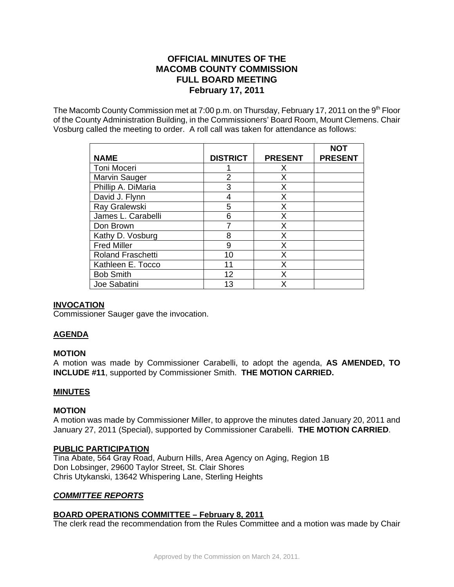# **OFFICIAL MINUTES OF THE MACOMB COUNTY COMMISSION FULL BOARD MEETING February 17, 2011**

The Macomb County Commission met at 7:00 p.m. on Thursday, February 17, 2011 on the  $9<sup>th</sup>$  Floor of the County Administration Building, in the Commissioners' Board Room, Mount Clemens. Chair Vosburg called the meeting to order. A roll call was taken for attendance as follows:

| <b>NAME</b>              | <b>DISTRICT</b> | <b>PRESENT</b> | NOT<br><b>PRESENT</b> |
|--------------------------|-----------------|----------------|-----------------------|
| Toni Moceri              |                 | Х              |                       |
| Marvin Sauger            | 2               | X              |                       |
| Phillip A. DiMaria       | 3               | X              |                       |
| David J. Flynn           | 4               | Х              |                       |
| Ray Gralewski            | 5               | Х              |                       |
| James L. Carabelli       | 6               | X              |                       |
| Don Brown                |                 | Х              |                       |
| Kathy D. Vosburg         | 8               | X              |                       |
| <b>Fred Miller</b>       | 9               | X              |                       |
| <b>Roland Fraschetti</b> | 10              | Х              |                       |
| Kathleen E. Tocco        | 11              | X              |                       |
| <b>Bob Smith</b>         | 12              | x              |                       |
| Joe Sabatini             | 13              | x              |                       |

### **INVOCATION**

Commissioner Sauger gave the invocation.

### **AGENDA**

#### **MOTION**

A motion was made by Commissioner Carabelli, to adopt the agenda, **AS AMENDED, TO INCLUDE #11**, supported by Commissioner Smith. **THE MOTION CARRIED.**

#### **MINUTES**

#### **MOTION**

A motion was made by Commissioner Miller, to approve the minutes dated January 20, 2011 and January 27, 2011 (Special), supported by Commissioner Carabelli. **THE MOTION CARRIED**.

### **PUBLIC PARTICIPATION**

Tina Abate, 564 Gray Road, Auburn Hills, Area Agency on Aging, Region 1B Don Lobsinger, 29600 Taylor Street, St. Clair Shores Chris Utykanski, 13642 Whispering Lane, Sterling Heights

### *COMMITTEE REPORTS*

## **BOARD OPERATIONS COMMITTEE – February 8, 2011**

The clerk read the recommendation from the Rules Committee and a motion was made by Chair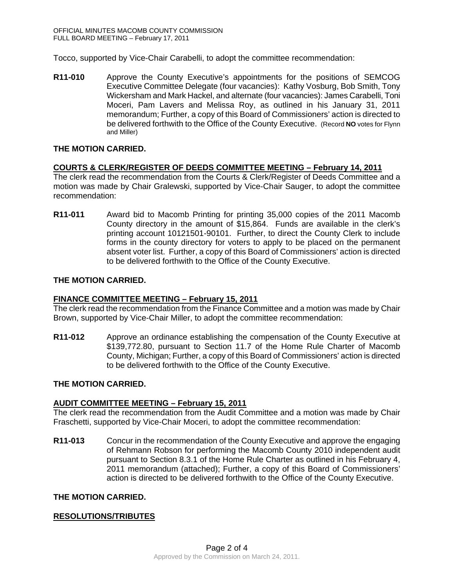Tocco, supported by Vice-Chair Carabelli, to adopt the committee recommendation:

**R11-010** Approve the County Executive's appointments for the positions of SEMCOG Executive Committee Delegate (four vacancies): Kathy Vosburg, Bob Smith, Tony Wickersham and Mark Hackel, and alternate (four vacancies): James Carabelli, Toni Moceri, Pam Lavers and Melissa Roy, as outlined in his January 31, 2011 memorandum; Further, a copy of this Board of Commissioners' action is directed to be delivered forthwith to the Office of the County Executive. (Record **NO** votes for Flynn and Miller)

### **THE MOTION CARRIED.**

### **COURTS & CLERK/REGISTER OF DEEDS COMMITTEE MEETING – February 14, 2011**

The clerk read the recommendation from the Courts & Clerk/Register of Deeds Committee and a motion was made by Chair Gralewski, supported by Vice-Chair Sauger, to adopt the committee recommendation:

**R11-011** Award bid to Macomb Printing for printing 35,000 copies of the 2011 Macomb County directory in the amount of \$15,864. Funds are available in the clerk's printing account 10121501-90101. Further, to direct the County Clerk to include forms in the county directory for voters to apply to be placed on the permanent absent voter list. Further, a copy of this Board of Commissioners' action is directed to be delivered forthwith to the Office of the County Executive.

### **THE MOTION CARRIED.**

### **FINANCE COMMITTEE MEETING – February 15, 2011**

The clerk read the recommendation from the Finance Committee and a motion was made by Chair Brown, supported by Vice-Chair Miller, to adopt the committee recommendation:

**R11-012** Approve an ordinance establishing the compensation of the County Executive at \$139,772.80, pursuant to Section 11.7 of the Home Rule Charter of Macomb County, Michigan; Further, a copy of this Board of Commissioners' action is directed to be delivered forthwith to the Office of the County Executive.

### **THE MOTION CARRIED.**

### **AUDIT COMMITTEE MEETING – February 15, 2011**

The clerk read the recommendation from the Audit Committee and a motion was made by Chair Fraschetti, supported by Vice-Chair Moceri, to adopt the committee recommendation:

**R11-013** Concur in the recommendation of the County Executive and approve the engaging of Rehmann Robson for performing the Macomb County 2010 independent audit pursuant to Section 8.3.1 of the Home Rule Charter as outlined in his February 4, 2011 memorandum (attached); Further, a copy of this Board of Commissioners' action is directed to be delivered forthwith to the Office of the County Executive.

### **THE MOTION CARRIED.**

### **RESOLUTIONS/TRIBUTES**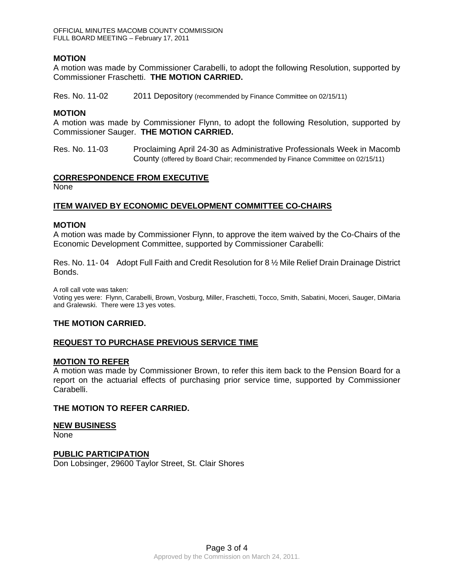OFFICIAL MINUTES MACOMB COUNTY COMMISSION FULL BOARD MEETING – February 17, 2011

### **MOTION**

A motion was made by Commissioner Carabelli, to adopt the following Resolution, supported by Commissioner Fraschetti. **THE MOTION CARRIED.**

Res. No. 11-02 2011 Depository (recommended by Finance Committee on 02/15/11)

#### **MOTION**

A motion was made by Commissioner Flynn, to adopt the following Resolution, supported by Commissioner Sauger. **THE MOTION CARRIED.** 

Res. No. 11-03 Proclaiming April 24-30 as Administrative Professionals Week in Macomb County (offered by Board Chair; recommended by Finance Committee on 02/15/11)

#### **CORRESPONDENCE FROM EXECUTIVE** None

### **ITEM WAIVED BY ECONOMIC DEVELOPMENT COMMITTEE CO-CHAIRS**

#### **MOTION**

A motion was made by Commissioner Flynn, to approve the item waived by the Co-Chairs of the Economic Development Committee, supported by Commissioner Carabelli:

Res. No. 11- 04 Adopt Full Faith and Credit Resolution for 8 ½ Mile Relief Drain Drainage District Bonds.

A roll call vote was taken:

Voting yes were: Flynn, Carabelli, Brown, Vosburg, Miller, Fraschetti, Tocco, Smith, Sabatini, Moceri, Sauger, DiMaria and Gralewski. There were 13 yes votes.

#### **THE MOTION CARRIED.**

#### **REQUEST TO PURCHASE PREVIOUS SERVICE TIME**

#### **MOTION TO REFER**

A motion was made by Commissioner Brown, to refer this item back to the Pension Board for a report on the actuarial effects of purchasing prior service time, supported by Commissioner Carabelli.

#### **THE MOTION TO REFER CARRIED.**

#### **NEW BUSINESS**

None

#### **PUBLIC PARTICIPATION**

Don Lobsinger, 29600 Taylor Street, St. Clair Shores